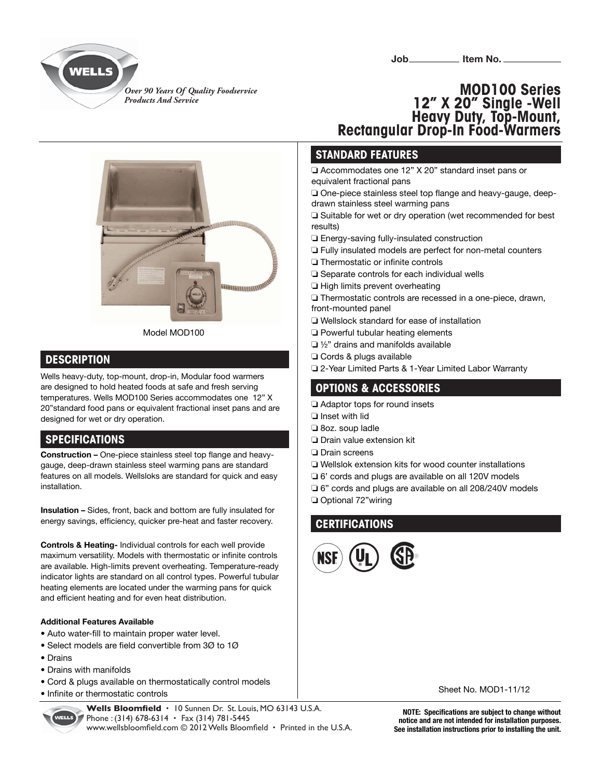

**Job\_\_\_\_\_\_\_\_\_\_\_\_\_\_ Item No.\_\_\_\_\_** 

*Over 90 Years Of Quality Foodservice Products And Service*



#### **DESCRIPTION**

Wells heavy-duty, top-mount, drop-in, Modular food warmers are designed to hold heated foods at safe and fresh serving temperatures. Wells MOD100 Series accommodates one 12" X 20"standard food pans or equivalent fractional inset pans and are designed for wet or dry operation.

# **SPECIFICATIONS**

**Construction -** One-piece stainless steel top flange and heavygauge, deep-drawn stainless steel warming pans are standard features on all models. Wellsloks are standard for quick and easy installation.

**Insulation –** Sides, front, back and bottom are fully insulated for energy savings, efficiency, quicker pre-heat and faster recovery.

**Controls & Heating-** Individual controls for each well provide maximum versatility. Models with thermostatic or infinite controls are available. High-limits prevent overheating. Temperature-ready indicator lights are standard on all control types. Powerful tubular heating elements are located under the warming pans for quick and efficient heating and for even heat distribution.

#### **Additional Features Available**

- Auto water-fill to maintain proper water level.
- Select models are field convertible from 3 $\varnothing$  to 1 $\varnothing$
- Drains
- Drains with manifolds
- Cord & plugs available on thermostatically control models
- Infinite or thermostatic controls



Wells Bloomfield · 10 Sunnen Dr. St. Louis, MO 63143 U.S.A. Phone : (314) 678-6314 **·** Fax (314) 781-5445 www.wellsbloomfield.com © 2012 Wells Bloomfield · Printed in the U.S.A.

# **MOD100 Series 12" X 20" Single -Well Heavy Duty, Top-Mount, Rectangular Drop-In Food-Warmers**

### **STANDARD FEATURES**

❏ Accommodates one 12" X 20" standard inset pans or equivalent fractional pans

□ One-piece stainless steel top flange and heavy-gauge, deepdrawn stainless steel warming pans

❏ Suitable for wet or dry operation (wet recommended for best results)

- ❏ Energy-saving fully-insulated construction
- ❏ Fully insulated models are perfect for non-metal counters
- **□** Thermostatic or infinite controls
- ❏ Separate controls for each individual wells
- ❏ High limits prevent overheating
- ❏ Thermostatic controls are recessed in a one-piece, drawn, front-mounted panel
- ❏ Wellslock standard for ease of installation
- ❏ Powerful tubular heating elements
- ❏ ½" drains and manifolds available
- ❏ Cords & plugs available
- ❏ 2-Year Limited Parts & 1-Year Limited Labor Warranty

## **OPTIONS & ACCESSORIES**

- ❏ Adaptor tops for round insets
- ❏ Inset with lid
- ❏ 8oz. soup ladle
- ❏ Drain value extension kit
- ❏ Drain screens
- ❏ Wellslok extension kits for wood counter installations
- ❏ 6' cords and plugs are available on all 120V models
- ❏ 6" cords and plugs are available on all 208/240V models
- ❏ Optional 72"wiring

# **CERTIFICATIONS**



Sheet No. MOD1-11/12

**NOTE: Specifications are subject to change without notice and are not intended for installation purposes. See installation instructions prior to installing the unit.**